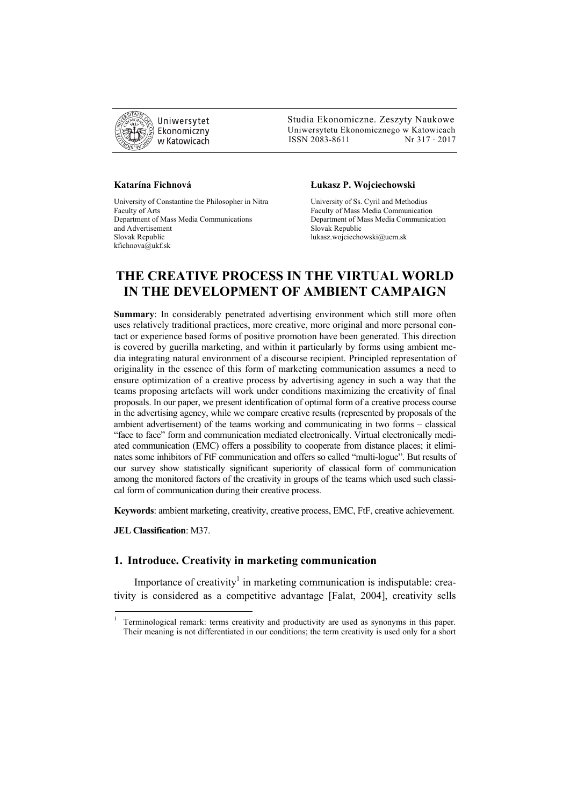

 Studia Ekonomiczne. Zeszyty Naukowe Ekonomiczny Uniwersytetu Ekonomicznego w Katowicach w Katowicach Matsus (SSN 2083-8611 Nr 317 · 2017

University of Constantine the Philosopher in Nitra University of Ss. Cyril and Methodius Faculty of Arts Faculty of Mass Media Communication Department of Mass Media Communications Department of Mass Media Communication and Advertisement<br>Slovak Republic<br>Iukasz.woiciecho kfichnova@ukf.sk

#### **Katarína Fichnová Łukasz P. Wojciechowski**

lukasz.wojciechowski@ucm.sk

# **THE CREATIVE PROCESS IN THE VIRTUAL WORLD IN THE DEVELOPMENT OF AMBIENT CAMPAIGN**

**Summary**: In considerably penetrated advertising environment which still more often uses relatively traditional practices, more creative, more original and more personal contact or experience based forms of positive promotion have been generated. This direction is covered by guerilla marketing, and within it particularly by forms using ambient media integrating natural environment of a discourse recipient. Principled representation of originality in the essence of this form of marketing communication assumes a need to ensure optimization of a creative process by advertising agency in such a way that the teams proposing artefacts will work under conditions maximizing the creativity of final proposals. In our paper, we present identification of optimal form of a creative process course in the advertising agency, while we compare creative results (represented by proposals of the ambient advertisement) of the teams working and communicating in two forms – classical "face to face" form and communication mediated electronically. Virtual electronically mediated communication (EMC) offers a possibility to cooperate from distance places; it eliminates some inhibitors of FtF communication and offers so called "multi-logue". But results of our survey show statistically significant superiority of classical form of communication among the monitored factors of the creativity in groups of the teams which used such classical form of communication during their creative process.

**Keywords**: ambient marketing, creativity, creative process, EMC, FtF, creative achievement.

**JEL Classification**: M37.

**.** 

### **1. Introduce. Creativity in marketing communication**

Importance of creativity<sup>1</sup> in marketing communication is indisputable: creativity is considered as a competitive advantage [Falat, 2004], creativity sells

<sup>1</sup> Terminological remark: terms creativity and productivity are used as synonyms in this paper. Their meaning is not differentiated in our conditions; the term creativity is used only for a short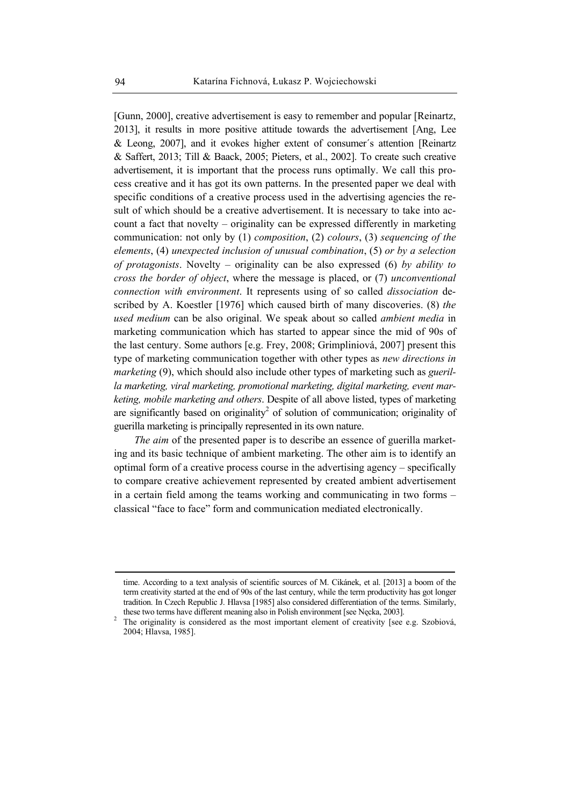[Gunn, 2000], creative advertisement is easy to remember and popular [Reinartz, 2013], it results in more positive attitude towards the advertisement [Ang, Lee & Leong, 2007], and it evokes higher extent of consumer´s attention [Reinartz & Saffert, 2013; Till & Baack, 2005; Pieters, et al., 2002]. To create such creative advertisement, it is important that the process runs optimally. We call this process creative and it has got its own patterns. In the presented paper we deal with specific conditions of a creative process used in the advertising agencies the result of which should be a creative advertisement. It is necessary to take into account a fact that novelty – originality can be expressed differently in marketing communication: not only by (1) *composition*, (2) *colours*, (3) *sequencing of the elements*, (4) *unexpected inclusion of unusual combination*, (5) *or by a selection of protagonists*. Novelty – originality can be also expressed (6) *by ability to cross the border of object*, where the message is placed, or (7) *unconventional connection with environment*. It represents using of so called *dissociation* described by A. Koestler [1976] which caused birth of many discoveries. (8) *the used medium* can be also original. We speak about so called *ambient media* in marketing communication which has started to appear since the mid of 90s of the last century. Some authors [e.g. Frey, 2008; Grimpliniová, 2007] present this type of marketing communication together with other types as *new directions in marketing* (9), which should also include other types of marketing such as *guerilla marketing, viral marketing, promotional marketing, digital marketing, event marketing, mobile marketing and others*. Despite of all above listed, types of marketing are significantly based on originality<sup>2</sup> of solution of communication; originality of guerilla marketing is principally represented in its own nature.

*The aim* of the presented paper is to describe an essence of guerilla marketing and its basic technique of ambient marketing. The other aim is to identify an optimal form of a creative process course in the advertising agency – specifically to compare creative achievement represented by created ambient advertisement in a certain field among the teams working and communicating in two forms – classical "face to face" form and communication mediated electronically.

1

time. According to a text analysis of scientific sources of M. Cikánek, et al. [2013] a boom of the term creativity started at the end of 90s of the last century, while the term productivity has got longer tradition. In Czech Republic J. Hlavsa [1985] also considered differentiation of the terms. Similarly, these two terms have different meaning also in Polish environment [see Nęcka, 2003]. 2

<sup>&</sup>lt;sup>2</sup> The originality is considered as the most important element of creativity [see e.g. Szobiová, 2004; Hlavsa, 1985].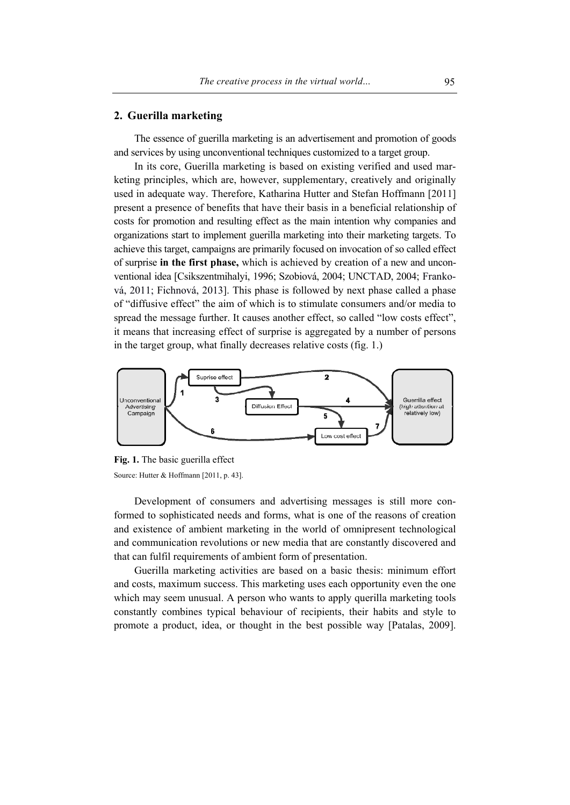#### **2. Guerilla marketing**

The essence of guerilla marketing is an advertisement and promotion of goods and services by using unconventional techniques customized to a target group.

In its core, Guerilla marketing is based on existing verified and used marketing principles, which are, however, supplementary, creatively and originally used in adequate way. Therefore, Katharina Hutter and Stefan Hoffmann [2011] present a presence of benefits that have their basis in a beneficial relationship of costs for promotion and resulting effect as the main intention why companies and organizations start to implement guerilla marketing into their marketing targets. To achieve this target, campaigns are primarily focused on invocation of so called effect of surprise **in the first phase,** which is achieved by creation of a new and unconventional idea [Csikszentmihalyi, 1996; Szobiová, 2004; UNCTAD, 2004; Franková, 2011; Fichnová, 2013]. This phase is followed by next phase called a phase of "diffusive effect" the aim of which is to stimulate consumers and/or media to spread the message further. It causes another effect, so called "low costs effect", it means that increasing effect of surprise is aggregated by a number of persons in the target group, what finally decreases relative costs (fig. 1.)



**Fig. 1.** The basic guerilla effect Source: Hutter & Hoffmann [2011, p. 43].

Development of consumers and advertising messages is still more conformed to sophisticated needs and forms, what is one of the reasons of creation and existence of ambient marketing in the world of omnipresent technological and communication revolutions or new media that are constantly discovered and that can fulfil requirements of ambient form of presentation.

Guerilla marketing activities are based on a basic thesis: minimum effort and costs, maximum success. This marketing uses each opportunity even the one which may seem unusual. A person who wants to apply querilla marketing tools constantly combines typical behaviour of recipients, their habits and style to promote a product, idea, or thought in the best possible way [Patalas, 2009].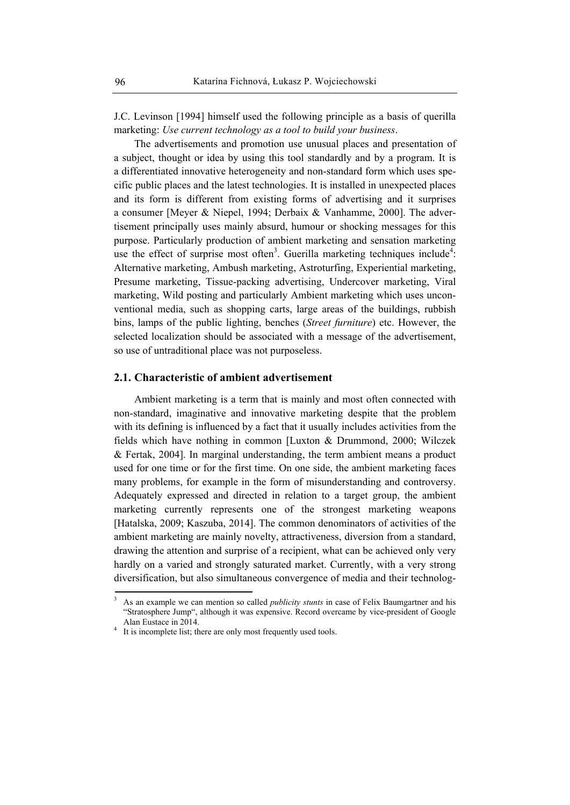J.C. Levinson [1994] himself used the following principle as a basis of querilla marketing: *Use current technology as a tool to build your business*.

The advertisements and promotion use unusual places and presentation of a subject, thought or idea by using this tool standardly and by a program. It is a differentiated innovative heterogeneity and non-standard form which uses specific public places and the latest technologies. It is installed in unexpected places and its form is different from existing forms of advertising and it surprises a consumer [Meyer & Niepel, 1994; Derbaix & Vanhamme, 2000]. The advertisement principally uses mainly absurd, humour or shocking messages for this purpose. Particularly production of ambient marketing and sensation marketing use the effect of surprise most often<sup>3</sup>. Guerilla marketing techniques include<sup>4</sup>: Alternative marketing, Ambush marketing, Astroturfing, Experiential marketing, Presume marketing, Tissue-packing advertising, Undercover marketing, Viral marketing, Wild posting and particularly Ambient marketing which uses unconventional media, such as shopping carts, large areas of the buildings, rubbish bins, lamps of the public lighting, benches (*Street furniture*) etc. However, the selected localization should be associated with a message of the advertisement, so use of untraditional place was not purposeless.

## **2.1. Characteristic of ambient advertisement**

Ambient marketing is a term that is mainly and most often connected with non-standard, imaginative and innovative marketing despite that the problem with its defining is influenced by a fact that it usually includes activities from the fields which have nothing in common [Luxton & Drummond, 2000; Wilczek & Fertak, 2004]. In marginal understanding, the term ambient means a product used for one time or for the first time. On one side, the ambient marketing faces many problems, for example in the form of misunderstanding and controversy. Adequately expressed and directed in relation to a target group, the ambient marketing currently represents one of the strongest marketing weapons [Hatalska, 2009; Kaszuba, 2014]. The common denominators of activities of the ambient marketing are mainly novelty, attractiveness, diversion from a standard, drawing the attention and surprise of a recipient, what can be achieved only very hardly on a varied and strongly saturated market. Currently, with a very strong diversification, but also simultaneous convergence of media and their technolog-

 $\overline{a}$ 

<sup>3</sup> As an example we can mention so called *publicity stunts* in case of Felix Baumgartner and his "Stratosphere Jump", although it was expensive. Record overcame by vice-president of Google Alan Eustace in 2014.

<sup>&</sup>lt;sup>4</sup> It is incomplete list; there are only most frequently used tools.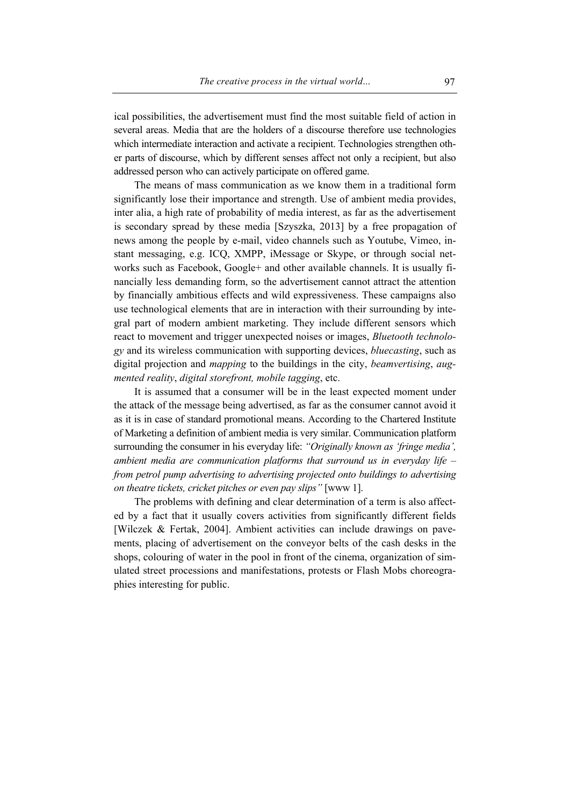ical possibilities, the advertisement must find the most suitable field of action in several areas. Media that are the holders of a discourse therefore use technologies which intermediate interaction and activate a recipient. Technologies strengthen other parts of discourse, which by different senses affect not only a recipient, but also addressed person who can actively participate on offered game.

The means of mass communication as we know them in a traditional form significantly lose their importance and strength. Use of ambient media provides, inter alia, a high rate of probability of media interest, as far as the advertisement is secondary spread by these media [Szyszka, 2013] by a free propagation of news among the people by e-mail, video channels such as Youtube, Vimeo, instant messaging, e.g. ICQ, XMPP, iMessage or Skype, or through social networks such as Facebook, Google+ and other available channels. It is usually financially less demanding form, so the advertisement cannot attract the attention by financially ambitious effects and wild expressiveness. These campaigns also use technological elements that are in interaction with their surrounding by integral part of modern ambient marketing. They include different sensors which react to movement and trigger unexpected noises or images, *Bluetooth technology* and its wireless communication with supporting devices, *bluecasting*, such as digital projection and *mapping* to the buildings in the city, *beamvertising*, *augmented reality*, *digital storefront, mobile tagging*, etc.

It is assumed that a consumer will be in the least expected moment under the attack of the message being advertised, as far as the consumer cannot avoid it as it is in case of standard promotional means. According to the Chartered Institute of Marketing a definition of ambient media is very similar. Communication platform surrounding the consumer in his everyday life: *"Originally known as 'fringe media', ambient media are communication platforms that surround us in everyday life – from petrol pump advertising to advertising projected onto buildings to advertising on theatre tickets, cricket pitches or even pay slips"* [www 1].

The problems with defining and clear determination of a term is also affected by a fact that it usually covers activities from significantly different fields [Wilczek & Fertak, 2004]. Ambient activities can include drawings on pavements, placing of advertisement on the conveyor belts of the cash desks in the shops, colouring of water in the pool in front of the cinema, organization of simulated street processions and manifestations, protests or Flash Mobs choreographies interesting for public.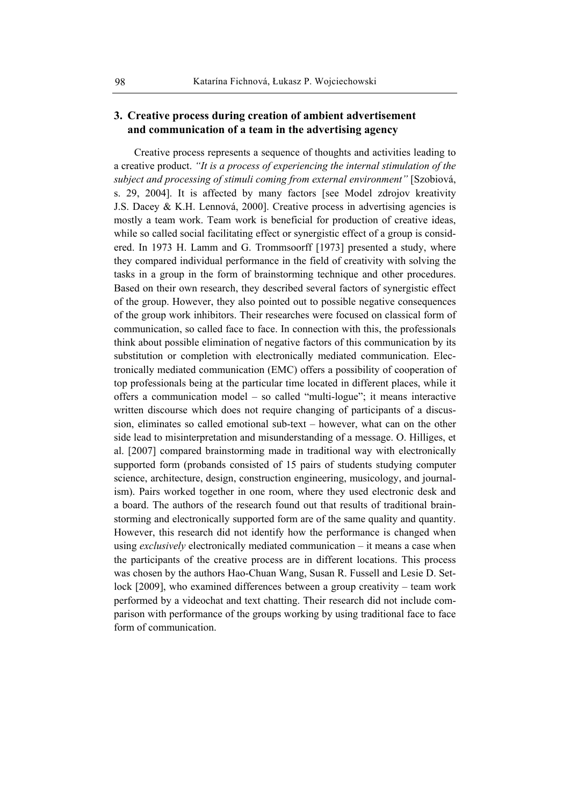# **3. Creative process during creation of ambient advertisement and communication of a team in the advertising agency**

Creative process represents a sequence of thoughts and activities leading to a creative product. *"It is a process of experiencing the internal stimulation of the subject and processing of stimuli coming from external environment"* [Szobiová, s. 29, 2004]. It is affected by many factors [see Model zdrojov kreativity J.S. Dacey & K.H. Lennová, 2000]. Creative process in advertising agencies is mostly a team work. Team work is beneficial for production of creative ideas, while so called social facilitating effect or synergistic effect of a group is considered. In 1973 H. Lamm and G. Trommsoorff [1973] presented a study, where they compared individual performance in the field of creativity with solving the tasks in a group in the form of brainstorming technique and other procedures. Based on their own research, they described several factors of synergistic effect of the group. However, they also pointed out to possible negative consequences of the group work inhibitors. Their researches were focused on classical form of communication, so called face to face. In connection with this, the professionals think about possible elimination of negative factors of this communication by its substitution or completion with electronically mediated communication. Electronically mediated communication (EMC) offers a possibility of cooperation of top professionals being at the particular time located in different places, while it offers a communication model – so called "multi-logue"; it means interactive written discourse which does not require changing of participants of a discussion, eliminates so called emotional sub-text – however, what can on the other side lead to misinterpretation and misunderstanding of a message. O. Hilliges, et al. [2007] compared brainstorming made in traditional way with electronically supported form (probands consisted of 15 pairs of students studying computer science, architecture, design, construction engineering, musicology, and journalism). Pairs worked together in one room, where they used electronic desk and a board. The authors of the research found out that results of traditional brainstorming and electronically supported form are of the same quality and quantity. However, this research did not identify how the performance is changed when using *exclusively* electronically mediated communication – it means a case when the participants of the creative process are in different locations. This process was chosen by the authors Hao-Chuan Wang, Susan R. Fussell and Lesie D. Setlock [2009], who examined differences between a group creativity – team work performed by a videochat and text chatting. Their research did not include comparison with performance of the groups working by using traditional face to face form of communication.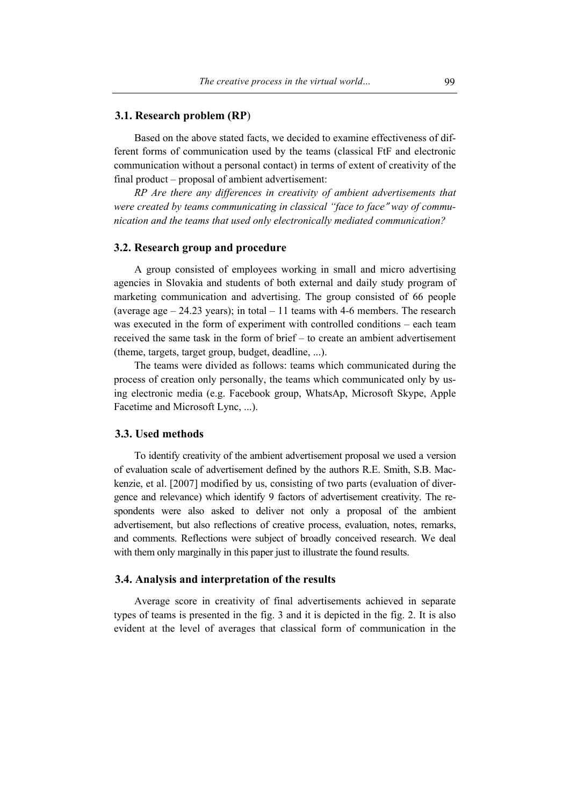#### **3.1. Research problem (RP**)

Based on the above stated facts, we decided to examine effectiveness of different forms of communication used by the teams (classical FtF and electronic communication without a personal contact) in terms of extent of creativity of the final product – proposal of ambient advertisement:

*RP Are there any differences in creativity of ambient advertisements that*  were created by teams communicating in classical "face to face" way of commu*nication and the teams that used only electronically mediated communication?* 

### **3.2. Research group and procedure**

A group consisted of employees working in small and micro advertising agencies in Slovakia and students of both external and daily study program of marketing communication and advertising. The group consisted of 66 people (average age  $-24.23$  years); in total  $-11$  teams with 4-6 members. The research was executed in the form of experiment with controlled conditions – each team received the same task in the form of brief – to create an ambient advertisement (theme, targets, target group, budget, deadline, ...).

The teams were divided as follows: teams which communicated during the process of creation only personally, the teams which communicated only by using electronic media (e.g. Facebook group, WhatsAp, Microsoft Skype, Apple Facetime and Microsoft Lync, ...).

#### **3.3. Used methods**

To identify creativity of the ambient advertisement proposal we used a version of evaluation scale of advertisement defined by the authors R.E. Smith, S.B. Mackenzie, et al. [2007] modified by us, consisting of two parts (evaluation of divergence and relevance) which identify 9 factors of advertisement creativity. The respondents were also asked to deliver not only a proposal of the ambient advertisement, but also reflections of creative process, evaluation, notes, remarks, and comments. Reflections were subject of broadly conceived research. We deal with them only marginally in this paper just to illustrate the found results.

# **3.4. Analysis and interpretation of the results**

Average score in creativity of final advertisements achieved in separate types of teams is presented in the fig. 3 and it is depicted in the fig. 2. It is also evident at the level of averages that classical form of communication in the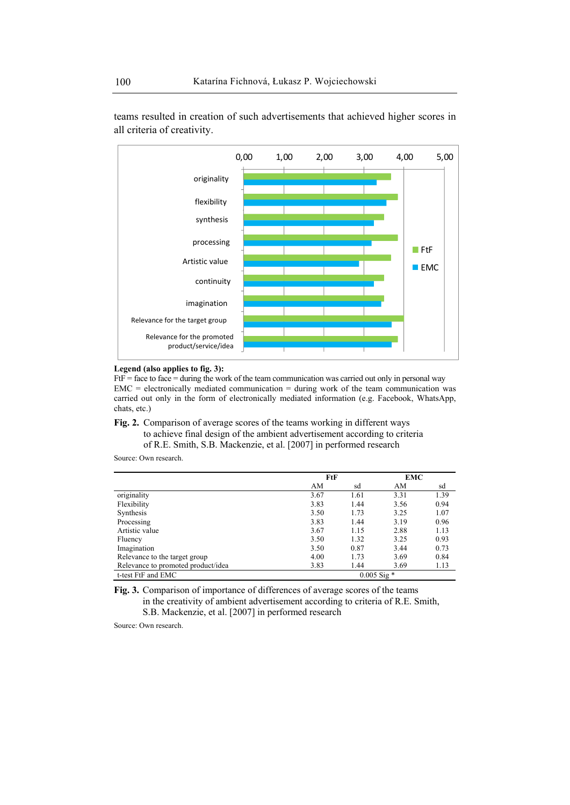

teams resulted in creation of such advertisements that achieved higher scores in all criteria of creativity.



 $FtF = face to face = during the work of the team communication was carried out only in personal way.$  $EMC =$  electronically mediated communication = during work of the team communication was carried out only in the form of electronically mediated information (e.g. Facebook, WhatsApp, chats, etc.)

**Fig. 2.** Comparison of average scores of the teams working in different ways to achieve final design of the ambient advertisement according to criteria of R.E. Smith, S.B. Mackenzie, et al. [2007] in performed research

Source: Own research.

|                                    | FtF             |      | EMC  |      |
|------------------------------------|-----------------|------|------|------|
|                                    | AM              | sd   | AM   | sd   |
| originality                        | 3.67            | 1.61 | 3.31 | 1.39 |
| Flexibility                        | 3.83            | 1.44 | 3.56 | 0.94 |
| Synthesis                          | 3.50            | 1.73 | 3.25 | 1.07 |
| Processing                         | 3.83            | 1.44 | 3.19 | 0.96 |
| Artistic value                     | 3.67            | 1.15 | 2.88 | 1.13 |
| Fluency                            | 3.50            | 1.32 | 3.25 | 0.93 |
| Imagination                        | 3.50            | 0.87 | 3.44 | 0.73 |
| Relevance to the target group      | 4.00            | 1.73 | 3.69 | 0.84 |
| Relevance to promoted product/idea | 3.83            | 1.44 | 3.69 | 1.13 |
| t-test FtF and EMC                 | $0.005$ Sig $*$ |      |      |      |

**Fig. 3.** Comparison of importance of differences of average scores of the teams in the creativity of ambient advertisement according to criteria of R.E. Smith, S.B. Mackenzie, et al. [2007] in performed research

Source: Own research.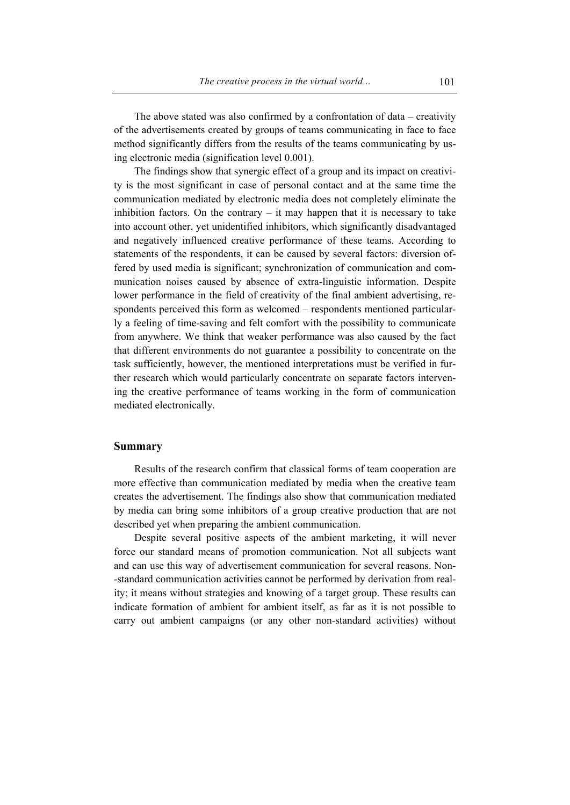The above stated was also confirmed by a confrontation of data – creativity of the advertisements created by groups of teams communicating in face to face method significantly differs from the results of the teams communicating by using electronic media (signification level 0.001).

The findings show that synergic effect of a group and its impact on creativity is the most significant in case of personal contact and at the same time the communication mediated by electronic media does not completely eliminate the inhibition factors. On the contrary  $-$  it may happen that it is necessary to take into account other, yet unidentified inhibitors, which significantly disadvantaged and negatively influenced creative performance of these teams. According to statements of the respondents, it can be caused by several factors: diversion offered by used media is significant; synchronization of communication and communication noises caused by absence of extra-linguistic information. Despite lower performance in the field of creativity of the final ambient advertising, respondents perceived this form as welcomed – respondents mentioned particularly a feeling of time-saving and felt comfort with the possibility to communicate from anywhere. We think that weaker performance was also caused by the fact that different environments do not guarantee a possibility to concentrate on the task sufficiently, however, the mentioned interpretations must be verified in further research which would particularly concentrate on separate factors intervening the creative performance of teams working in the form of communication mediated electronically.

### **Summary**

Results of the research confirm that classical forms of team cooperation are more effective than communication mediated by media when the creative team creates the advertisement. The findings also show that communication mediated by media can bring some inhibitors of a group creative production that are not described yet when preparing the ambient communication.

Despite several positive aspects of the ambient marketing, it will never force our standard means of promotion communication. Not all subjects want and can use this way of advertisement communication for several reasons. Non- -standard communication activities cannot be performed by derivation from reality; it means without strategies and knowing of a target group. These results can indicate formation of ambient for ambient itself, as far as it is not possible to carry out ambient campaigns (or any other non-standard activities) without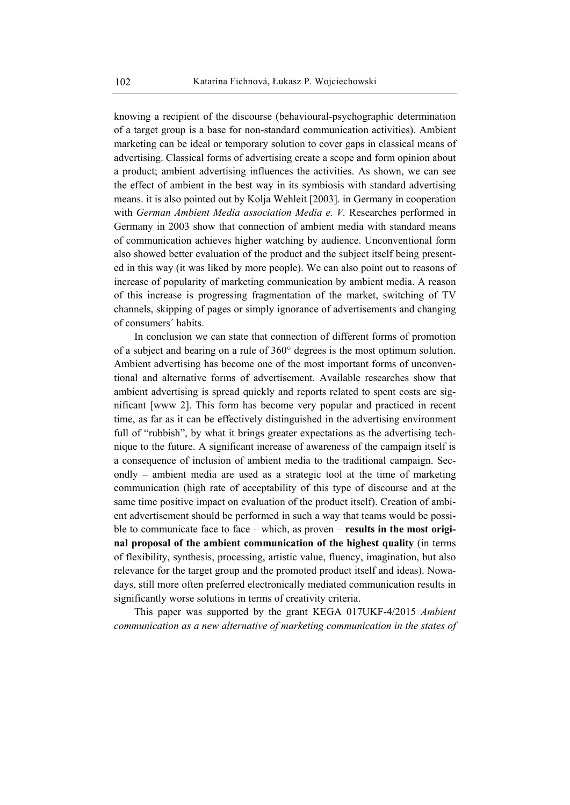knowing a recipient of the discourse (behavioural-psychographic determination of a target group is a base for non-standard communication activities). Ambient marketing can be ideal or temporary solution to cover gaps in classical means of advertising. Classical forms of advertising create a scope and form opinion about a product; ambient advertising influences the activities. As shown, we can see the effect of ambient in the best way in its symbiosis with standard advertising means. it is also pointed out by Kolja Wehleit [2003]. in Germany in cooperation with *German Ambient Media association Media e. V.* Researches performed in Germany in 2003 show that connection of ambient media with standard means of communication achieves higher watching by audience. Unconventional form also showed better evaluation of the product and the subject itself being presented in this way (it was liked by more people). We can also point out to reasons of increase of popularity of marketing communication by ambient media. A reason of this increase is progressing fragmentation of the market, switching of TV channels, skipping of pages or simply ignorance of advertisements and changing of consumers´ habits.

In conclusion we can state that connection of different forms of promotion of a subject and bearing on a rule of 360° degrees is the most optimum solution. Ambient advertising has become one of the most important forms of unconventional and alternative forms of advertisement. Available researches show that ambient advertising is spread quickly and reports related to spent costs are significant [www 2]. This form has become very popular and practiced in recent time, as far as it can be effectively distinguished in the advertising environment full of "rubbish", by what it brings greater expectations as the advertising technique to the future. A significant increase of awareness of the campaign itself is a consequence of inclusion of ambient media to the traditional campaign. Secondly – ambient media are used as a strategic tool at the time of marketing communication (high rate of acceptability of this type of discourse and at the same time positive impact on evaluation of the product itself). Creation of ambient advertisement should be performed in such a way that teams would be possible to communicate face to face – which, as proven – **results in the most original proposal of the ambient communication of the highest quality** (in terms of flexibility, synthesis, processing, artistic value, fluency, imagination, but also relevance for the target group and the promoted product itself and ideas). Nowadays, still more often preferred electronically mediated communication results in significantly worse solutions in terms of creativity criteria.

This paper was supported by the grant KEGA 017UKF-4/2015 *Ambient communication as a new alternative of marketing communication in the states of*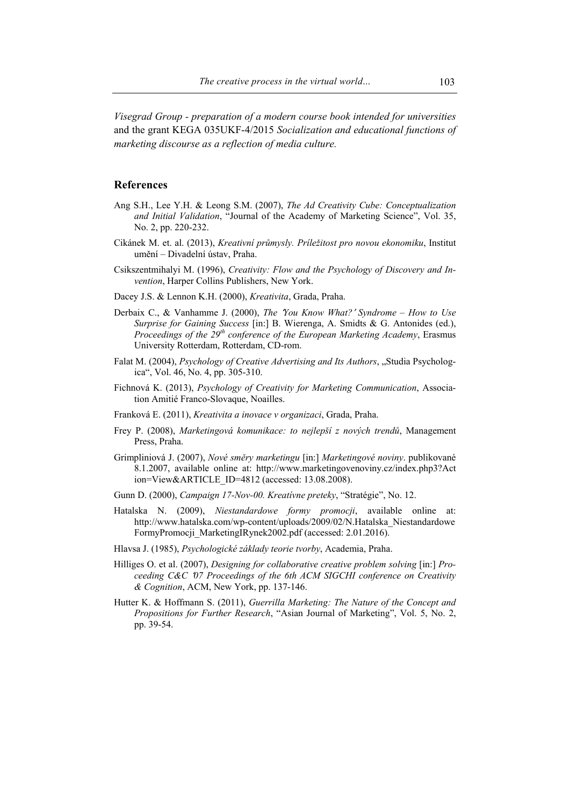*Visegrad Group - preparation of a modern course book intended for universities* and the grant KEGA 035UKF-4/2015 *Socialization and educational functions of marketing discourse as a reflection of media culture.* 

#### **References**

- Ang S.H., Lee Y.H. & Leong S.M. (2007), *The Ad Creativity Cube: Conceptualization and Initial Validation*, "Journal of the Academy of Marketing Science", Vol. 35, No. 2, pp. 220-232.
- Cikánek M. et. al. (2013), *Kreativní průmysly. Príležitost pro novou ekonomiku*, Institut umění – Divadelní ústav, Praha.
- Csikszentmihalyi M. (1996), *Creativity: Flow and the Psychology of Discovery and Invention*, Harper Collins Publishers, New York.
- Dacey J.S. & Lennon K.H. (2000), *Kreativita*, Grada, Praha.
- Derbaix C., & Vanhamme J. (2000), *The* ʻ*You Know What?*' *Syndrome How to Use Surprise for Gaining Success* [in:] B. Wierenga, A. Smidts & G. Antonides (ed.), *Proceedings of the 29th conference of the European Marketing Academy*, Erasmus University Rotterdam, Rotterdam, CD-rom.
- Falat M. (2004), *Psychology of Creative Advertising and Its Authors*, "Studia Psychologica", Vol. 46, No. 4, pp. 305-310.
- Fichnová K. (2013), *Psychology of Creativity for Marketing Communication*, Association Amitié Franco-Slovaque, Noailles.
- Franková E. (2011), *Kreativita a inovace v organizaci*, Grada, Praha.
- Frey P. (2008), *Marketingová komunikace: to nejlepší z nových trendů*, Management Press, Praha.
- Grimpliniová J. (2007), *Nové směry marketingu* [in:] *Marketingové noviny*. publikované 8.1.2007, available online at: http://www.marketingovenoviny.cz/index.php3?Act ion=View&ARTICLE\_ID=4812 (accessed: 13.08.2008).
- Gunn D. (2000), *Campaign 17-Nov-00. Kreatívne preteky*, "Stratégie", No. 12.
- Hatalska N. (2009), *Niestandardowe formy promocji*, available online at: http://www.hatalska.com/wp-content/uploads/2009/02/N.Hatalska\_Niestandardowe FormyPromocji MarketingIRynek2002.pdf (accessed: 2.01.2016).
- Hlavsa J. (1985), *Psychologické základy teorie tvorby*, Academia, Praha.
- Hilliges O. et al. (2007), *Designing for collaborative creative problem solving* [in:] *Proceeding C&C* ʻ*07 Proceedings of the 6th ACM SIGCHI conference on Creativity & Cognition*, ACM, New York, pp. 137-146.
- Hutter K. & Hoffmann S. (2011), *Guerrilla Marketing: The Nature of the Concept and Propositions for Further Research*, "Asian Journal of Marketing", Vol. 5, No. 2, pp. 39-54.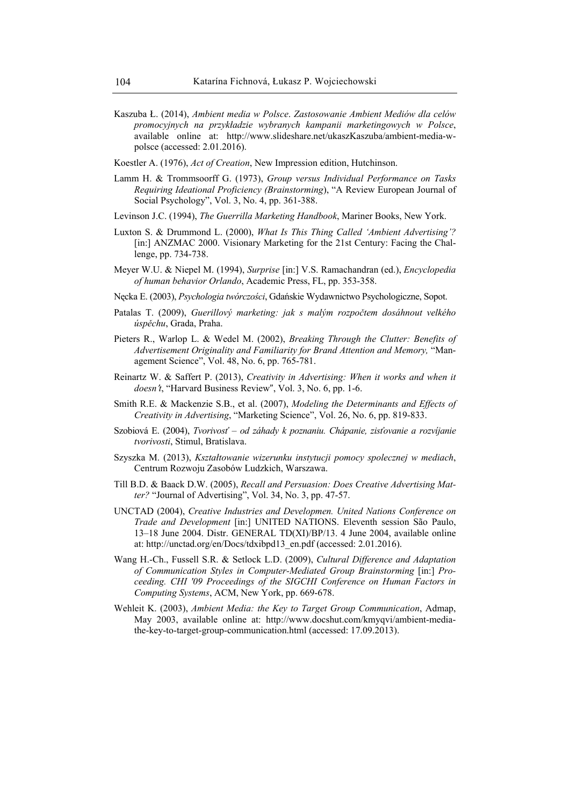- Kaszuba Ł. (2014), *Ambient media w Polsce*. *Zastosowanie Ambient Mediów dla celów promocyjnych na przykładzie wybranych kampanii marketingowych w Polsce*, available online at: http://www.slideshare.net/ukaszKaszuba/ambient-media-wpolsce (accessed: 2.01.2016).
- Koestler A. (1976), *Act of Creation*, New Impression edition, Hutchinson.
- Lamm H. & Trommsoorff G. (1973), *Group versus Individual Performance on Tasks Requiring Ideational Proficiency (Brainstorming*), "A Review European Journal of Social Psychology", Vol. 3, No. 4, pp. 361-388.
- Levinson J.C. (1994), *The Guerrilla Marketing Handbook*, Mariner Books, New York.
- Luxton S. & Drummond L. (2000), *What Is This Thing Called 'Ambient Advertising'?* [in:] ANZMAC 2000. Visionary Marketing for the 21st Century: Facing the Challenge, pp. 734-738.
- Meyer W.U. & Niepel M. (1994), *Surprise* [in:] V.S. Ramachandran (ed.), *Encyclopedia of human behavior Orlando*, Academic Press, FL, pp. 353-358.
- Nęcka E. (2003), *Psychologia twórczości*, Gdańskie Wydawnictwo Psychologiczne, Sopot.
- Patalas T. (2009), *Guerillový marketing: jak s malým rozpočtem dosáhnout velkého úspěchu*, Grada, Praha.
- Pieters R., Warlop L. & Wedel M. (2002), *Breaking Through the Clutter: Benefits of Advertisement Originality and Familiarity for Brand Attention and Memory,* "Management Science", Vol. 48, No. 6, pp. 765-781.
- Reinartz W. & Saffert P. (2013), *Creativity in Advertising: When it works and when it doesn*'*t*, "Harvard Business Reviewˮ, Vol. 3, No. 6, pp. 1-6.
- Smith R.E. & Mackenzie S.B., et al. (2007), *Modeling the Determinants and Effects of Creativity in Advertising*, "Marketing Science", Vol. 26, No. 6, pp. 819-833.
- Szobiová E. (2004), *Tvorivosť od záhady k poznaniu. Chápanie, zisťovanie a rozvíjanie tvorivosti*, Stimul, Bratislava.
- Szyszka M. (2013), *Kształtowanie wizerunku instytucji pomocy spolecznej w mediach*, Centrum Rozwoju Zasobów Ludzkich, Warszawa.
- Till B.D. & Baack D.W. (2005), *Recall and Persuasion: Does Creative Advertising Matter?* "Journal of Advertising", Vol. 34, No. 3, pp. 47-57.
- UNCTAD (2004), *Creative Industries and Developmen. United Nations Conference on Trade and Development* [in:] UNITED NATIONS. Eleventh session São Paulo, 13–18 June 2004. Distr. GENERAL TD(XI)/BP/13. 4 June 2004, available online at: http://unctad.org/en/Docs/tdxibpd13\_en.pdf (accessed: 2.01.2016).
- Wang H.-Ch., Fussell S.R. & Setlock L.D. (2009), *Cultural Difference and Adaptation of Communication Styles in Computer-Mediated Group Brainstorming* [in:] *Proceeding. CHI '09 Proceedings of the SIGCHI Conference on Human Factors in Computing Systems*, ACM, New York, pp. 669-678.
- Wehleit K. (2003), *Ambient Media: the Key to Target Group Communication*, Admap, May 2003, available online at: http://www.docshut.com/kmyqvi/ambient-mediathe-key-to-target-group-communication.html (accessed: 17.09.2013).